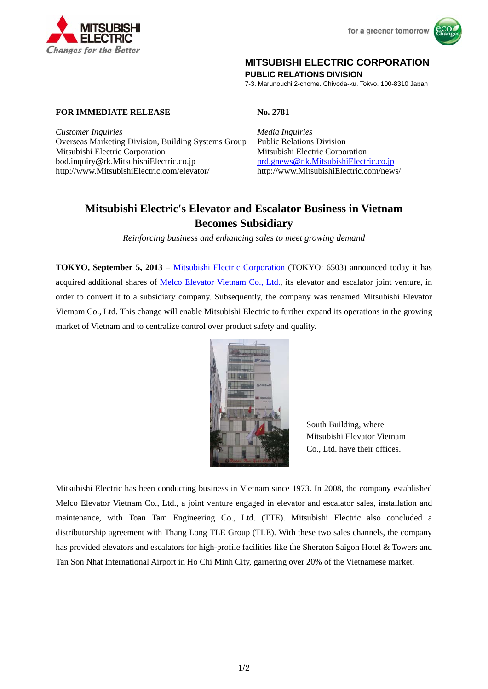



## **MITSUBISHI ELECTRIC CORPORATION**

**PUBLIC RELATIONS DIVISION** 

7-3, Marunouchi 2-chome, Chiyoda-ku, Tokyo, 100-8310 Japan

**FOR IMMEDIATE RELEASE No. 2781** 

*Customer Inquiries Media Inquiries* Overseas Marketing Division, Building Systems Group Public Relations Division Mitsubishi Electric Corporation Mitsubishi Electric Corporation bod.inquiry@rk.MitsubishiElectric.co.jp prd.gnews@nk.MitsubishiElectric.co.jp<br>http://www.MitsubishiElectric.com/elevator/ http://www.MitsubishiElectric.com/news/ http://www.MitsubishiElectric.com/elevator/

# **Mitsubishi Electric's Elevator and Escalator Business in Vietnam Becomes Subsidiary**

*Reinforcing business and enhancing sales to meet growing demand*

**TOKYO, September 5, 2013** – Mitsubishi Electric Corporation (TOKYO: 6503) announced today it has acquired additional shares of Melco Elevator Vietnam Co., Ltd., its elevator and escalator joint venture, in order to convert it to a subsidiary company. Subsequently, the company was renamed Mitsubishi Elevator Vietnam Co., Ltd. This change will enable Mitsubishi Electric to further expand its operations in the growing market of Vietnam and to centralize control over product safety and quality.



South Building, where Mitsubishi Elevator Vietnam Co., Ltd. have their offices.

Mitsubishi Electric has been conducting business in Vietnam since 1973. In 2008, the company established Melco Elevator Vietnam Co., Ltd., a joint venture engaged in elevator and escalator sales, installation and maintenance, with Toan Tam Engineering Co., Ltd. (TTE). Mitsubishi Electric also concluded a distributorship agreement with Thang Long TLE Group (TLE). With these two sales channels, the company has provided elevators and escalators for high-profile facilities like the Sheraton Saigon Hotel & Towers and Tan Son Nhat International Airport in Ho Chi Minh City, garnering over 20% of the Vietnamese market.